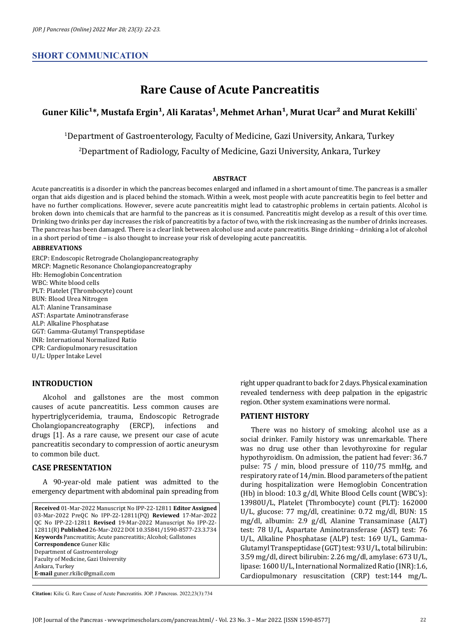# **SHORT COMMUNICATION**

# **Rare Cause of Acute Pancreatitis**

# Guner Kilic<sup>1\*</sup>, Mustafa Ergin<sup>1</sup>, Ali Karatas<sup>1</sup>, Mehmet Arhan<sup>1</sup>, Murat Ucar<sup>2</sup> and Murat Kekilli<sup>1</sup>

<sup>1</sup>Department of Gastroenterology, Faculty of Medicine, Gazi University, Ankara, Turkey

<sup>2</sup>Department of Radiology, Faculty of Medicine, Gazi University, Ankara, Turkey

#### **ABSTRACT**

Acute pancreatitis is a disorder in which the pancreas becomes enlarged and inflamed in a short amount of time. The pancreas is a smaller organ that aids digestion and is placed behind the stomach. Within a week, most people with acute pancreatitis begin to feel better and have no further complications. However, severe acute pancreatitis might lead to catastrophic problems in certain patients. Alcohol is broken down into chemicals that are harmful to the pancreas as it is consumed. Pancreatitis might develop as a result of this over time. Drinking two drinks per day increases the risk of pancreatitis by a factor of two, with the risk increasing as the number of drinks increases. The pancreas has been damaged. There is a clear link between alcohol use and acute pancreatitis. Binge drinking – drinking a lot of alcohol in a short period of time – is also thought to increase your risk of developing acute pancreatitis.

#### **ABBREVATIONS**

ERCP: Endoscopic Retrograde Cholangiopancreatography MRCP: Magnetic Resonance Cholangiopancreatography Hb: Hemoglobin Concentration WBC: White blood cells PLT: Platelet (Thrombocyte) count BUN: Blood Urea Nitrogen ALT: Alanine Transaminase AST: Aspartate Aminotransferase ALP: Alkaline Phosphatase GGT: Gamma-Glutamyl Transpeptidase INR: International Normalized Ratio CPR: Cardiopulmonary resuscitation U/L: Upper Intake Level

# **INTRODUCTION**

Alcohol and gallstones are the most common causes of acute pancreatitis. Less common causes are hypertriglyceridemia, trauma, Endoscopic Retrograde<br>Cholangiopancreatography (ERCP), infections and Cholangiopancreatography drugs [1]. As a rare cause, we present our case of acute pancreatitis secondary to compression of aortic aneurysm to common bile duct.

# **CASE PRESENTATION**

A 90-year-old male patient was admitted to the emergency department with abdominal pain spreading from

**Received** 01-Mar-2022 Manuscript No IPP-22-12811 **Editor Assigned**  03-Mar-2022 PreQC No IPP-22-12811(PQ) **Reviewed** 17-Mar-2022 QC No IPP-22-12811 **Revised** 19-Mar-2022 Manuscript No IPP-22- 12811(R) **Published** 26-Mar-2022 DOI 10.35841/1590-8577-23.3.734 **Keywords** Pancreatitis; Acute pancreatitis; Alcohol; Gallstones **Correspondence** Guner Kilic Department of Gastroenterology Faculty of Medicine, Gazi University Ankara, Turkey **E-mail** [guner.rkilic@gmail.com](mailto:guner.rkilic@gmail.com)

right upper quadrant to back for 2 days. Physical examination revealed tenderness with deep palpation in the epigastric region. Other system examinations were normal.

#### **PATIENT HISTORY**

There was no history of smoking; alcohol use as a social drinker. Family history was unremarkable. There was no drug use other than levothyroxine for regular hypothyroidism. On admission, the patient had fever: 36.7 pulse: 75 / min, blood pressure of 110/75 mmHg, and respiratory rate of 14/min. Blood parameters of the patient during hospitalization were Hemoglobin Concentration (Hb) in blood: 10.3 g/dl, White Blood Cells count (WBC's): 13980U/L, Platelet (Thrombocyte) count (PLT): 162000 U/L, glucose: 77 mg/dl, creatinine: 0.72 mg/dl, BUN: 15 mg/dl, albumin: 2.9 g/dl, Alanine Transaminase (ALT) test: 78 U/L, Aspartate Aminotransferase (AST) test: 76 U/L, Alkaline Phosphatase (ALP) test: 169 U/L, Gamma-Glutamyl Transpeptidase (GGT) test: 93 U/L, total bilirubin: 3.59 mg/dl, direct bilirubin: 2.26 mg/dl, amylase: 673 U/L, lipase: 1600 U/L, International Normalized Ratio (INR): 1.6, Cardiopulmonary resuscitation (CRP) test:144 mg/L.

**Citation:** Kilic G. Rare Cause of Acute Pancreatitis. JOP. J Pancreas. 2022;23(3):734